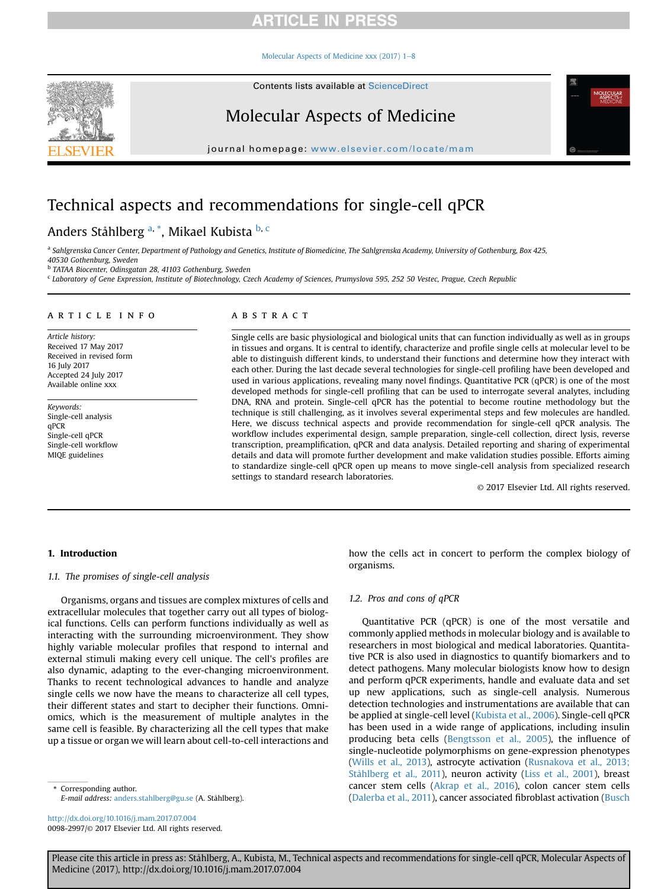[Molecular Aspects of Medicine xxx \(2017\) 1](http://dx.doi.org/10.1016/j.mam.2017.07.004)-[8](http://dx.doi.org/10.1016/j.mam.2017.07.004)



# Molecular Aspects of Medicine

journal homepage: <www.elsevier.com/locate/mam>

# Technical aspects and recommendations for single-cell qPCR

### Anders Ståhlberg <sup>a, \*</sup>, Mikael Kubista <sup>b, c</sup>

a Sahlgrenska Cancer Center, Department of Pathology and Genetics, Institute of Biomedicine, The Sahlgrenska Academy, University of Gothenburg, Box 425, 40530 Gothenburg, Sweden

<sup>b</sup> TATAA Biocenter, Odinsgatan 28, 41103 Gothenburg, Sweden

<sup>c</sup> Laboratory of Gene Expression, Institute of Biotechnology, Czech Academy of Sciences, Prumyslova 595, 252 50 Vestec, Prague, Czech Republic

#### article info

Article history: Received 17 May 2017 Received in revised form 16 July 2017 Accepted 24 July 2017 Available online xxx

Keywords: Single-cell analysis qPCR Single-cell qPCR Single-cell workflow MIQE guidelines

#### **ABSTRACT**

Single cells are basic physiological and biological units that can function individually as well as in groups in tissues and organs. It is central to identify, characterize and profile single cells at molecular level to be able to distinguish different kinds, to understand their functions and determine how they interact with each other. During the last decade several technologies for single-cell profiling have been developed and used in various applications, revealing many novel findings. Quantitative PCR (qPCR) is one of the most developed methods for single-cell profiling that can be used to interrogate several analytes, including DNA, RNA and protein. Single-cell qPCR has the potential to become routine methodology but the technique is still challenging, as it involves several experimental steps and few molecules are handled. Here, we discuss technical aspects and provide recommendation for single-cell qPCR analysis. The workflow includes experimental design, sample preparation, single-cell collection, direct lysis, reverse transcription, preamplification, qPCR and data analysis. Detailed reporting and sharing of experimental details and data will promote further development and make validation studies possible. Efforts aiming to standardize single-cell qPCR open up means to move single-cell analysis from specialized research settings to standard research laboratories.

© 2017 Elsevier Ltd. All rights reserved.

#### 1. Introduction

#### 1.1. The promises of single-cell analysis

Organisms, organs and tissues are complex mixtures of cells and extracellular molecules that together carry out all types of biological functions. Cells can perform functions individually as well as interacting with the surrounding microenvironment. They show highly variable molecular profiles that respond to internal and external stimuli making every cell unique. The cell's profiles are also dynamic, adapting to the ever-changing microenvironment. Thanks to recent technological advances to handle and analyze single cells we now have the means to characterize all cell types, their different states and start to decipher their functions. Omniomics, which is the measurement of multiple analytes in the same cell is feasible. By characterizing all the cell types that make up a tissue or organ we will learn about cell-to-cell interactions and

Corresponding author. E-mail address: [anders.stahlberg@gu.se](mailto:anders.stahlberg@gu.se) (A. Ståhlberg).

<http://dx.doi.org/10.1016/j.mam.2017.07.004> 0098-2997/© 2017 Elsevier Ltd. All rights reserved. how the cells act in concert to perform the complex biology of organisms.

#### 1.2. Pros and cons of qPCR

Quantitative PCR (qPCR) is one of the most versatile and commonly applied methods in molecular biology and is available to researchers in most biological and medical laboratories. Quantitative PCR is also used in diagnostics to quantify biomarkers and to detect pathogens. Many molecular biologists know how to design and perform qPCR experiments, handle and evaluate data and set up new applications, such as single-cell analysis. Numerous detection technologies and instrumentations are available that can be applied at single-cell level ([Kubista et al., 2006](#page-7-0)). Single-cell qPCR has been used in a wide range of applications, including insulin producing beta cells ([Bengtsson et al., 2005](#page-6-0)), the influence of single-nucleotide polymorphisms on gene-expression phenotypes ([Wills et al., 2013](#page-7-0)), astrocyte activation ([Rusnakova et al., 2013;](#page-7-0) [Ståhlberg et al., 2011](#page-7-0)), neuron activity ([Liss et al., 2001\)](#page-7-0), breast cancer stem cells ([Akrap et al., 2016](#page-6-0)), colon cancer stem cells ([Dalerba et al., 2011\)](#page-6-0), cancer associated fibroblast activation [\(Busch](#page-6-0)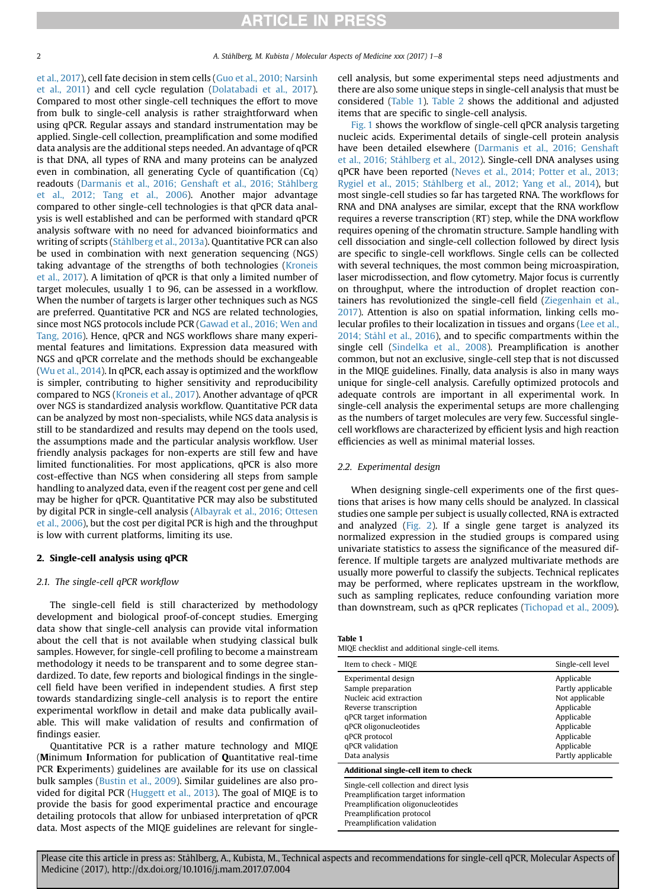[et al., 2017\)](#page-6-0), cell fate decision in stem cells [\(Guo et al., 2010; Narsinh](#page-6-0) [et al., 2011](#page-6-0)) and cell cycle regulation ([Dolatabadi et al., 2017\)](#page-6-0). Compared to most other single-cell techniques the effort to move from bulk to single-cell analysis is rather straightforward when using qPCR. Regular assays and standard instrumentation may be applied. Single-cell collection, preamplification and some modified data analysis are the additional steps needed. An advantage of qPCR is that DNA, all types of RNA and many proteins can be analyzed even in combination, all generating Cycle of quantification (Cq) readouts [\(Darmanis et al., 2016; Genshaft et al., 2016; Ståhlberg](#page-6-0) [et al., 2012; Tang et al., 2006](#page-6-0)). Another major advantage compared to other single-cell technologies is that qPCR data analysis is well established and can be performed with standard qPCR analysis software with no need for advanced bioinformatics and writing of scripts [\(Ståhlberg et al., 2013a](#page-7-0)). Quantitative PCR can also be used in combination with next generation sequencing (NGS) taking advantage of the strengths of both technologies [\(Kroneis](#page-7-0) [et al., 2017\)](#page-7-0). A limitation of qPCR is that only a limited number of target molecules, usually 1 to 96, can be assessed in a workflow. When the number of targets is larger other techniques such as NGS are preferred. Quantitative PCR and NGS are related technologies, since most NGS protocols include PCR [\(Gawad et al., 2016; Wen and](#page-6-0) [Tang, 2016\)](#page-6-0). Hence, qPCR and NGS workflows share many experimental features and limitations. Expression data measured with NGS and qPCR correlate and the methods should be exchangeable ([Wu et al., 2014](#page-7-0)). In qPCR, each assay is optimized and the workflow is simpler, contributing to higher sensitivity and reproducibility compared to NGS ([Kroneis et al., 2017](#page-7-0)). Another advantage of qPCR over NGS is standardized analysis workflow. Quantitative PCR data can be analyzed by most non-specialists, while NGS data analysis is still to be standardized and results may depend on the tools used, the assumptions made and the particular analysis workflow. User friendly analysis packages for non-experts are still few and have limited functionalities. For most applications, qPCR is also more cost-effective than NGS when considering all steps from sample handling to analyzed data, even if the reagent cost per gene and cell may be higher for qPCR. Quantitative PCR may also be substituted by digital PCR in single-cell analysis [\(Albayrak et al., 2016; Ottesen](#page-6-0) [et al., 2006\)](#page-6-0), but the cost per digital PCR is high and the throughput is low with current platforms, limiting its use.

### 2. Single-cell analysis using qPCR

### 2.1. The single-cell qPCR workflow

The single-cell field is still characterized by methodology development and biological proof-of-concept studies. Emerging data show that single-cell analysis can provide vital information about the cell that is not available when studying classical bulk samples. However, for single-cell profiling to become a mainstream methodology it needs to be transparent and to some degree standardized. To date, few reports and biological findings in the singlecell field have been verified in independent studies. A first step towards standardizing single-cell analysis is to report the entire experimental workflow in detail and make data publically available. This will make validation of results and confirmation of findings easier.

Quantitative PCR is a rather mature technology and MIQE (Minimum Information for publication of Quantitative real-time PCR Experiments) guidelines are available for its use on classical bulk samples ([Bustin et al., 2009](#page-6-0)). Similar guidelines are also provided for digital PCR ([Huggett et al., 2013](#page-6-0)). The goal of MIQE is to provide the basis for good experimental practice and encourage detailing protocols that allow for unbiased interpretation of qPCR data. Most aspects of the MIQE guidelines are relevant for singlecell analysis, but some experimental steps need adjustments and there are also some unique steps in single-cell analysis that must be considered (Table 1). [Table 2](#page-2-0) shows the additional and adjusted items that are specific to single-cell analysis.

[Fig. 1](#page-2-0) shows the workflow of single-cell qPCR analysis targeting nucleic acids. Experimental details of single-cell protein analysis have been detailed elsewhere [\(Darmanis et al., 2016; Genshaft](#page-6-0) [et al., 2016; Ståhlberg et al., 2012\)](#page-6-0). Single-cell DNA analyses using qPCR have been reported [\(Neves et al., 2014; Potter et al., 2013;](#page-7-0) [Rygiel et al., 2015; Ståhlberg et al., 2012; Yang et al., 2014\)](#page-7-0), but most single-cell studies so far has targeted RNA. The workflows for RNA and DNA analyses are similar, except that the RNA workflow requires a reverse transcription (RT) step, while the DNA workflow requires opening of the chromatin structure. Sample handling with cell dissociation and single-cell collection followed by direct lysis are specific to single-cell workflows. Single cells can be collected with several techniques, the most common being microaspiration, laser microdissection, and flow cytometry. Major focus is currently on throughput, where the introduction of droplet reaction containers has revolutionized the single-cell field ([Ziegenhain et al.,](#page-7-0) [2017\)](#page-7-0). Attention is also on spatial information, linking cells molecular profiles to their localization in tissues and organs [\(Lee et al.,](#page-7-0) [2014; Ståhl et al., 2016\)](#page-7-0), and to specific compartments within the single cell [\(Sindelka et al., 2008\)](#page-7-0). Preamplification is another common, but not an exclusive, single-cell step that is not discussed in the MIQE guidelines. Finally, data analysis is also in many ways unique for single-cell analysis. Carefully optimized protocols and adequate controls are important in all experimental work. In single-cell analysis the experimental setups are more challenging as the numbers of target molecules are very few. Successful singlecell workflows are characterized by efficient lysis and high reaction efficiencies as well as minimal material losses.

#### 2.2. Experimental design

When designing single-cell experiments one of the first questions that arises is how many cells should be analyzed. In classical studies one sample per subject is usually collected, RNA is extracted and analyzed ([Fig. 2\)](#page-3-0). If a single gene target is analyzed its normalized expression in the studied groups is compared using univariate statistics to assess the significance of the measured difference. If multiple targets are analyzed multivariate methods are usually more powerful to classify the subjects. Technical replicates may be performed, where replicates upstream in the workflow, such as sampling replicates, reduce confounding variation more than downstream, such as qPCR replicates [\(Tichopad et al., 2009\)](#page-7-0).

| Table 1 |                                                  |  |  |
|---------|--------------------------------------------------|--|--|
|         | MIQE checklist and additional single-cell items. |  |  |

| Item to check - MIOE                    | Single-cell level |
|-----------------------------------------|-------------------|
| Experimental design                     | Applicable        |
| Sample preparation                      | Partly applicable |
| Nucleic acid extraction                 | Not applicable    |
| Reverse transcription                   | Applicable        |
| qPCR target information                 | Applicable        |
| qPCR oligonucleotides                   | Applicable        |
| qPCR protocol                           | Applicable        |
| qPCR validation                         | Applicable        |
| Data analysis                           | Partly applicable |
| Additional single-cell item to check    |                   |
| Single-cell collection and direct lysis |                   |
| Preamplification target information     |                   |
| Preamplification oligonucleotides       |                   |
| Preamplification protocol               |                   |
| Preamplification validation             |                   |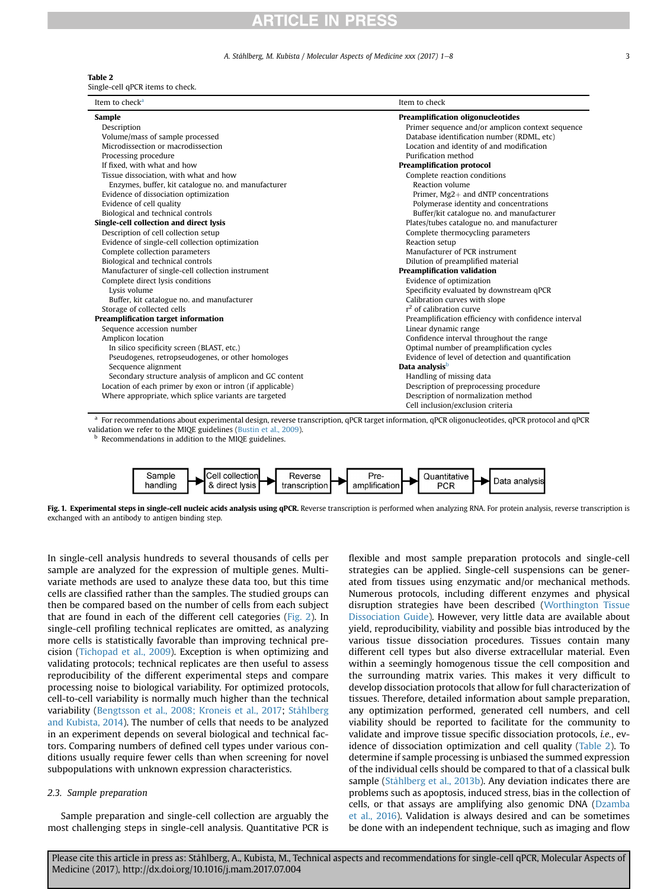#### A. Ståhlberg, M. Kubista / Molecular Aspects of Medicine xxx (2017) 1–8 3

#### <span id="page-2-0"></span>Table 2

Single-cell qPCR items to check.

| Item to check <sup>a</sup>                                | Item to check                                        |  |  |
|-----------------------------------------------------------|------------------------------------------------------|--|--|
| Sample                                                    | <b>Preamplification oligonucleotides</b>             |  |  |
| Description                                               | Primer sequence and/or amplicon context sequence     |  |  |
| Volume/mass of sample processed                           | Database identification number (RDML, etc)           |  |  |
| Microdissection or macrodissection                        | Location and identity of and modification            |  |  |
| Processing procedure                                      | Purification method                                  |  |  |
| If fixed, with what and how                               | <b>Preamplification protocol</b>                     |  |  |
| Tissue dissociation, with what and how                    | Complete reaction conditions                         |  |  |
| Enzymes, buffer, kit catalogue no. and manufacturer       | <b>Reaction volume</b>                               |  |  |
| Evidence of dissociation optimization                     | Primer, Mg2+ and dNTP concentrations                 |  |  |
| Evidence of cell quality                                  | Polymerase identity and concentrations               |  |  |
| Biological and technical controls                         | Buffer/kit catalogue no. and manufacturer            |  |  |
| Single-cell collection and direct lysis                   | Plates/tubes catalogue no. and manufacturer          |  |  |
| Description of cell collection setup                      | Complete thermocycling parameters                    |  |  |
| Evidence of single-cell collection optimization           | Reaction setup                                       |  |  |
| Complete collection parameters                            | Manufacturer of PCR instrument                       |  |  |
| Biological and technical controls                         | Dilution of preamplified material                    |  |  |
| Manufacturer of single-cell collection instrument         | <b>Preamplification validation</b>                   |  |  |
| Complete direct lysis conditions                          | Evidence of optimization                             |  |  |
| Lysis volume                                              | Specificity evaluated by downstream qPCR             |  |  |
| Buffer, kit catalogue no. and manufacturer                | Calibration curves with slope                        |  |  |
| Storage of collected cells                                | $r2$ of calibration curve                            |  |  |
| Preamplification target information                       | Preamplification efficiency with confidence interval |  |  |
| Sequence accession number                                 | Linear dynamic range                                 |  |  |
| Amplicon location                                         | Confidence interval throughout the range             |  |  |
| In silico specificity screen (BLAST, etc.)                | Optimal number of preamplification cycles            |  |  |
| Pseudogenes, retropseudogenes, or other homologes         | Evidence of level of detection and quantification    |  |  |
| Secquence alignment                                       | Data analysis <sup>b</sup>                           |  |  |
| Secondary structure analysis of amplicon and GC content   | Handling of missing data                             |  |  |
| Location of each primer by exon or intron (if applicable) | Description of preprocessing procedure               |  |  |
| Where appropriate, which splice variants are targeted     | Description of normalization method                  |  |  |
|                                                           | Cell inclusion/exclusion criteria                    |  |  |

<sup>a</sup> For recommendations about experimental design, reverse transcription, qPCR target information, qPCR oligonucleotides, qPCR protocol and qPCR validation we refer to the MIQE guidelines [\(Bustin et al., 2009\)](#page-6-0).

**b** Recommendations in addition to the MIQE guidelines.



Fig. 1. Experimental steps in single-cell nucleic acids analysis using qPCR. Reverse transcription is performed when analyzing RNA. For protein analysis, reverse transcription is exchanged with an antibody to antigen binding step.

In single-cell analysis hundreds to several thousands of cells per sample are analyzed for the expression of multiple genes. Multivariate methods are used to analyze these data too, but this time cells are classified rather than the samples. The studied groups can then be compared based on the number of cells from each subject that are found in each of the different cell categories ([Fig. 2\)](#page-3-0). In single-cell profiling technical replicates are omitted, as analyzing more cells is statistically favorable than improving technical precision ([Tichopad et al., 2009](#page-7-0)). Exception is when optimizing and validating protocols; technical replicates are then useful to assess reproducibility of the different experimental steps and compare processing noise to biological variability. For optimized protocols, cell-to-cell variability is normally much higher than the technical variability ([Bengtsson et al., 2008; Kroneis et al., 2017;](#page-6-0) [Ståhlberg](#page-7-0) [and Kubista, 2014](#page-7-0)). The number of cells that needs to be analyzed in an experiment depends on several biological and technical factors. Comparing numbers of defined cell types under various conditions usually require fewer cells than when screening for novel subpopulations with unknown expression characteristics.

#### 2.3. Sample preparation

Sample preparation and single-cell collection are arguably the most challenging steps in single-cell analysis. Quantitative PCR is flexible and most sample preparation protocols and single-cell strategies can be applied. Single-cell suspensions can be generated from tissues using enzymatic and/or mechanical methods. Numerous protocols, including different enzymes and physical disruption strategies have been described ([Worthington Tissue](#page-7-0) [Dissociation Guide\)](#page-7-0). However, very little data are available about yield, reproducibility, viability and possible bias introduced by the various tissue dissociation procedures. Tissues contain many different cell types but also diverse extracellular material. Even within a seemingly homogenous tissue the cell composition and the surrounding matrix varies. This makes it very difficult to develop dissociation protocols that allow for full characterization of tissues. Therefore, detailed information about sample preparation, any optimization performed, generated cell numbers, and cell viability should be reported to facilitate for the community to validate and improve tissue specific dissociation protocols, i.e., evidence of dissociation optimization and cell quality (Table 2). To determine if sample processing is unbiased the summed expression of the individual cells should be compared to that of a classical bulk sample [\(Ståhlberg et al., 2013b\)](#page-7-0). Any deviation indicates there are problems such as apoptosis, induced stress, bias in the collection of cells, or that assays are amplifying also genomic DNA ([Dzamba](#page-6-0) [et al., 2016](#page-6-0)). Validation is always desired and can be sometimes be done with an independent technique, such as imaging and flow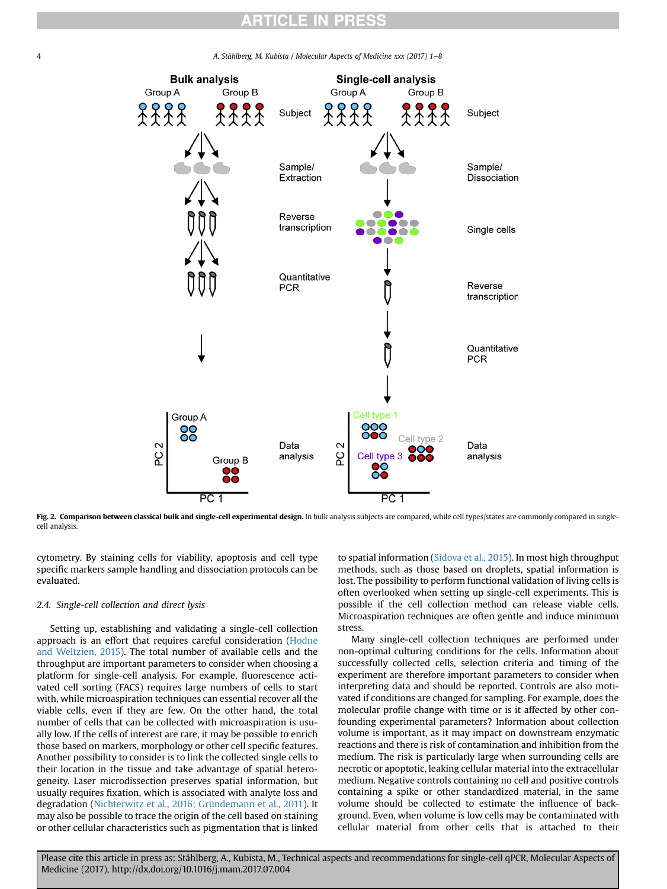<span id="page-3-0"></span>4 A. Ståhlberg, M. Kubista / Molecular Aspects of Medicine xxx (2017) 1–8



Fig. 2. Comparison between classical bulk and single-cell experimental design. In bulk analysis subjects are compared, while cell types/states are commonly compared in singlecell analysis.

cytometry. By staining cells for viability, apoptosis and cell type specific markers sample handling and dissociation protocols can be evaluated.

#### 2.4. Single-cell collection and direct lysis

Setting up, establishing and validating a single-cell collection approach is an effort that requires careful consideration ([Hodne](#page-6-0) [and Weltzien, 2015\)](#page-6-0). The total number of available cells and the throughput are important parameters to consider when choosing a platform for single-cell analysis. For example, fluorescence activated cell sorting (FACS) requires large numbers of cells to start with, while microaspiration techniques can essential recover all the viable cells, even if they are few. On the other hand, the total number of cells that can be collected with microaspiration is usually low. If the cells of interest are rare, it may be possible to enrich those based on markers, morphology or other cell specific features. Another possibility to consider is to link the collected single cells to their location in the tissue and take advantage of spatial heterogeneity. Laser microdissection preserves spatial information, but usually requires fixation, which is associated with analyte loss and degradation ([Nichterwitz et al., 2016; Gründemann et al., 2011\)](#page-7-0). It may also be possible to trace the origin of the cell based on staining or other cellular characteristics such as pigmentation that is linked to spatial information ([Sidova et al., 2015](#page-7-0)). In most high throughput methods, such as those based on droplets, spatial information is lost. The possibility to perform functional validation of living cells is often overlooked when setting up single-cell experiments. This is possible if the cell collection method can release viable cells. Microaspiration techniques are often gentle and induce minimum stress.

Many single-cell collection techniques are performed under non-optimal culturing conditions for the cells. Information about successfully collected cells, selection criteria and timing of the experiment are therefore important parameters to consider when interpreting data and should be reported. Controls are also motivated if conditions are changed for sampling. For example, does the molecular profile change with time or is it affected by other confounding experimental parameters? Information about collection volume is important, as it may impact on downstream enzymatic reactions and there is risk of contamination and inhibition from the medium. The risk is particularly large when surrounding cells are necrotic or apoptotic, leaking cellular material into the extracellular medium. Negative controls containing no cell and positive controls containing a spike or other standardized material, in the same volume should be collected to estimate the influence of background. Even, when volume is low cells may be contaminated with cellular material from other cells that is attached to their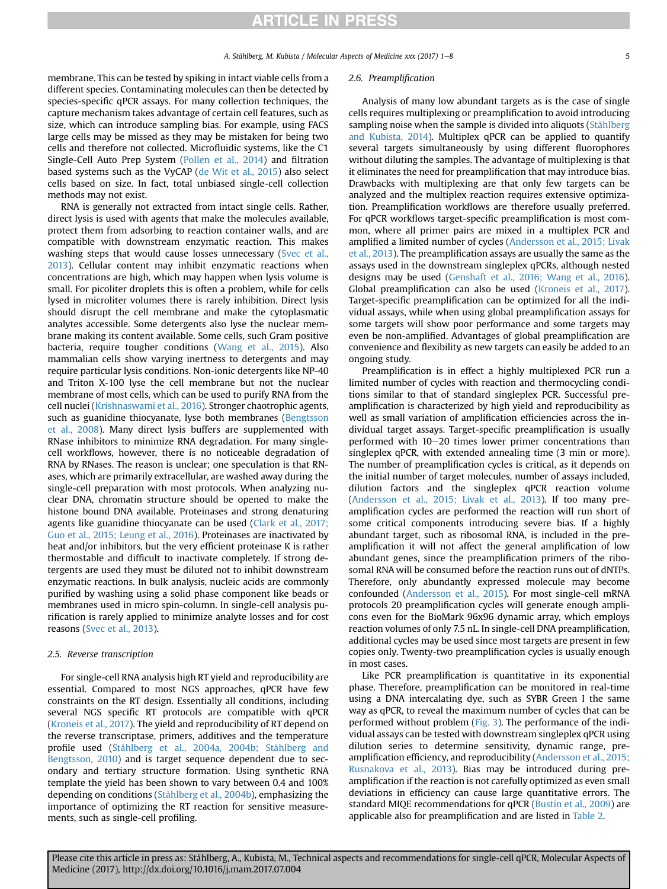membrane. This can be tested by spiking in intact viable cells from a different species. Contaminating molecules can then be detected by species-specific qPCR assays. For many collection techniques, the capture mechanism takes advantage of certain cell features, such as size, which can introduce sampling bias. For example, using FACS large cells may be missed as they may be mistaken for being two cells and therefore not collected. Microfluidic systems, like the C1 Single-Cell Auto Prep System ([Pollen et al., 2014](#page-7-0)) and filtration based systems such as the VyCAP [\(de Wit et al., 2015](#page-6-0)) also select cells based on size. In fact, total unbiased single-cell collection methods may not exist.

RNA is generally not extracted from intact single cells. Rather, direct lysis is used with agents that make the molecules available, protect them from adsorbing to reaction container walls, and are compatible with downstream enzymatic reaction. This makes washing steps that would cause losses unnecessary ([Svec et al.,](#page-7-0) [2013\)](#page-7-0). Cellular content may inhibit enzymatic reactions when concentrations are high, which may happen when lysis volume is small. For picoliter droplets this is often a problem, while for cells lysed in microliter volumes there is rarely inhibition. Direct lysis should disrupt the cell membrane and make the cytoplasmatic analytes accessible. Some detergents also lyse the nuclear membrane making its content available. Some cells, such Gram positive bacteria, require tougher conditions [\(Wang et al., 2015](#page-7-0)). Also mammalian cells show varying inertness to detergents and may require particular lysis conditions. Non-ionic detergents like NP-40 and Triton X-100 lyse the cell membrane but not the nuclear membrane of most cells, which can be used to purify RNA from the cell nuclei ([Krishnaswami et al., 2016](#page-6-0)). Stronger chaotrophic agents, such as guanidine thiocyanate, lyse both membranes ([Bengtsson](#page-6-0) [et al., 2008](#page-6-0)). Many direct lysis buffers are supplemented with RNase inhibitors to minimize RNA degradation. For many singlecell workflows, however, there is no noticeable degradation of RNA by RNases. The reason is unclear; one speculation is that RNases, which are primarily extracellular, are washed away during the single-cell preparation with most protocols. When analyzing nuclear DNA, chromatin structure should be opened to make the histone bound DNA available. Proteinases and strong denaturing agents like guanidine thiocyanate can be used ([Clark et al., 2017;](#page-6-0) [Guo et al., 2015; Leung et al., 2016](#page-6-0)). Proteinases are inactivated by heat and/or inhibitors, but the very efficient proteinase K is rather thermostable and difficult to inactivate completely. If strong detergents are used they must be diluted not to inhibit downstream enzymatic reactions. In bulk analysis, nucleic acids are commonly purified by washing using a solid phase component like beads or membranes used in micro spin-column. In single-cell analysis purification is rarely applied to minimize analyte losses and for cost reasons ([Svec et al., 2013](#page-7-0)).

#### 2.5. Reverse transcription

For single-cell RNA analysis high RT yield and reproducibility are essential. Compared to most NGS approaches, qPCR have few constraints on the RT design. Essentially all conditions, including several NGS specific RT protocols are compatible with qPCR ([Kroneis et al., 2017\)](#page-7-0). The yield and reproducibility of RT depend on the reverse transcriptase, primers, additives and the temperature profile used [\(Ståhlberg et al., 2004a, 2004b; Ståhlberg and](#page-7-0) [Bengtsson, 2010](#page-7-0)) and is target sequence dependent due to secondary and tertiary structure formation. Using synthetic RNA template the yield has been shown to vary between 0.4 and 100% depending on conditions ([Ståhlberg et al., 2004b](#page-7-0)), emphasizing the importance of optimizing the RT reaction for sensitive measurements, such as single-cell profiling.

#### 2.6. Preamplification

Analysis of many low abundant targets as is the case of single cells requires multiplexing or preamplification to avoid introducing sampling noise when the sample is divided into aliquots ([Ståhlberg](#page-7-0) [and Kubista, 2014](#page-7-0)). Multiplex qPCR can be applied to quantify several targets simultaneously by using different fluorophores without diluting the samples. The advantage of multiplexing is that it eliminates the need for preamplification that may introduce bias. Drawbacks with multiplexing are that only few targets can be analyzed and the multiplex reaction requires extensive optimization. Preamplification workflows are therefore usually preferred. For qPCR workflows target-specific preamplification is most common, where all primer pairs are mixed in a multiplex PCR and amplified a limited number of cycles [\(Andersson et al., 2015; Livak](#page-6-0) [et al., 2013\)](#page-6-0). The preamplification assays are usually the same as the assays used in the downstream singleplex qPCRs, although nested designs may be used ([Genshaft et al., 2016; Wang et al., 2016\)](#page-6-0). Global preamplification can also be used ([Kroneis et al., 2017\)](#page-7-0). Target-specific preamplification can be optimized for all the individual assays, while when using global preamplification assays for some targets will show poor performance and some targets may even be non-amplified. Advantages of global preamplification are convenience and flexibility as new targets can easily be added to an ongoing study.

Preamplification is in effect a highly multiplexed PCR run a limited number of cycles with reaction and thermocycling conditions similar to that of standard singleplex PCR. Successful preamplification is characterized by high yield and reproducibility as well as small variation of amplification efficiencies across the individual target assays. Target-specific preamplification is usually performed with  $10-20$  times lower primer concentrations than singleplex qPCR, with extended annealing time (3 min or more). The number of preamplification cycles is critical, as it depends on the initial number of target molecules, number of assays included, dilution factors and the singleplex qPCR reaction volume ([Andersson et al., 2015; Livak et al., 2013](#page-6-0)). If too many preamplification cycles are performed the reaction will run short of some critical components introducing severe bias. If a highly abundant target, such as ribosomal RNA, is included in the preamplification it will not affect the general amplification of low abundant genes, since the preamplification primers of the ribosomal RNA will be consumed before the reaction runs out of dNTPs. Therefore, only abundantly expressed molecule may become confounded [\(Andersson et al., 2015\)](#page-6-0). For most single-cell mRNA protocols 20 preamplification cycles will generate enough amplicons even for the BioMark 96x96 dynamic array, which employs reaction volumes of only 7.5 nL. In single-cell DNA preamplification, additional cycles may be used since most targets are present in few copies only. Twenty-two preamplification cycles is usually enough in most cases.

Like PCR preamplification is quantitative in its exponential phase. Therefore, preamplification can be monitored in real-time using a DNA intercalating dye, such as SYBR Green I the same way as qPCR, to reveal the maximum number of cycles that can be performed without problem [\(Fig. 3\)](#page-5-0). The performance of the individual assays can be tested with downstream singleplex qPCR using dilution series to determine sensitivity, dynamic range, preamplification efficiency, and reproducibility ([Andersson et al., 2015;](#page-6-0) [Rusnakova et al., 2013\)](#page-6-0). Bias may be introduced during preamplification if the reaction is not carefully optimized as even small deviations in efficiency can cause large quantitative errors. The standard MIQE recommendations for qPCR [\(Bustin et al., 2009\)](#page-6-0) are applicable also for preamplification and are listed in [Table 2.](#page-2-0)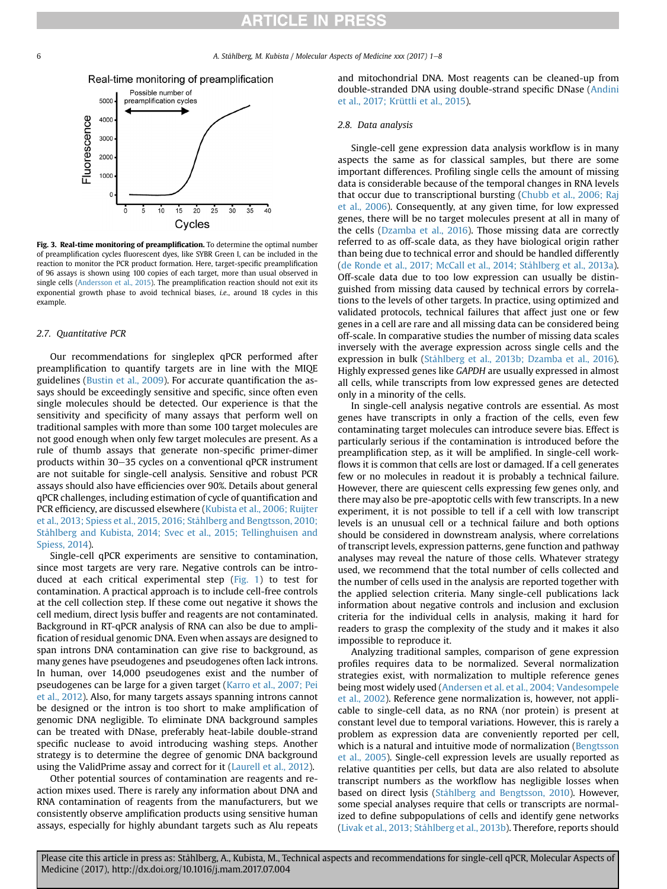<span id="page-5-0"></span>6 **A. Ståhlberg, M. Kubista / Molecular Aspects of Medicine xxx (2017) 1–8** 



Fig. 3. Real-time monitoring of preamplification. To determine the optimal number of preamplification cycles fluorescent dyes, like SYBR Green I, can be included in the reaction to monitor the PCR product formation. Here, target-specific preamplification of 96 assays is shown using 100 copies of each target, more than usual observed in single cells ([Andersson et al., 2015\)](#page-6-0). The preamplification reaction should not exit its exponential growth phase to avoid technical biases, i.e., around 18 cycles in this example.

#### 2.7. Quantitative PCR

Our recommendations for singleplex qPCR performed after preamplification to quantify targets are in line with the MIQE guidelines [\(Bustin et al., 2009](#page-6-0)). For accurate quantification the assays should be exceedingly sensitive and specific, since often even single molecules should be detected. Our experience is that the sensitivity and specificity of many assays that perform well on traditional samples with more than some 100 target molecules are not good enough when only few target molecules are present. As a rule of thumb assays that generate non-specific primer-dimer products within  $30-35$  cycles on a conventional qPCR instrument are not suitable for single-cell analysis. Sensitive and robust PCR assays should also have efficiencies over 90%. Details about general qPCR challenges, including estimation of cycle of quantification and PCR efficiency, are discussed elsewhere [\(Kubista et al., 2006; Ruijter](#page-7-0) [et al., 2013; Spiess et al., 2015, 2016; Ståhlberg and Bengtsson, 2010;](#page-7-0) [Ståhlberg and Kubista, 2014; Svec et al., 2015; Tellinghuisen and](#page-7-0) [Spiess, 2014\)](#page-7-0).

Single-cell qPCR experiments are sensitive to contamination, since most targets are very rare. Negative controls can be introduced at each critical experimental step [\(Fig. 1\)](#page-2-0) to test for contamination. A practical approach is to include cell-free controls at the cell collection step. If these come out negative it shows the cell medium, direct lysis buffer and reagents are not contaminated. Background in RT-qPCR analysis of RNA can also be due to amplification of residual genomic DNA. Even when assays are designed to span introns DNA contamination can give rise to background, as many genes have pseudogenes and pseudogenes often lack introns. In human, over 14,000 pseudogenes exist and the number of pseudogenes can be large for a given target [\(Karro et al., 2007; Pei](#page-6-0) [et al., 2012\)](#page-6-0). Also, for many targets assays spanning introns cannot be designed or the intron is too short to make amplification of genomic DNA negligible. To eliminate DNA background samples can be treated with DNase, preferably heat-labile double-strand specific nuclease to avoid introducing washing steps. Another strategy is to determine the degree of genomic DNA background using the ValidPrime assay and correct for it ([Laurell et al., 2012\)](#page-7-0).

Other potential sources of contamination are reagents and reaction mixes used. There is rarely any information about DNA and RNA contamination of reagents from the manufacturers, but we consistently observe amplification products using sensitive human assays, especially for highly abundant targets such as Alu repeats

and mitochondrial DNA. Most reagents can be cleaned-up from double-stranded DNA using double-strand specific DNase ([Andini](#page-6-0) [et al., 2017; Krüttli et al., 2015\)](#page-6-0).

#### 2.8. Data analysis

Single-cell gene expression data analysis workflow is in many aspects the same as for classical samples, but there are some important differences. Profiling single cells the amount of missing data is considerable because of the temporal changes in RNA levels that occur due to transcriptional bursting ([Chubb et al., 2006; Raj](#page-6-0) [et al., 2006\)](#page-6-0). Consequently, at any given time, for low expressed genes, there will be no target molecules present at all in many of the cells ([Dzamba et al., 2016\)](#page-6-0). Those missing data are correctly referred to as off-scale data, as they have biological origin rather than being due to technical error and should be handled differently ([de Ronde et al., 2017; McCall et al., 2014; Ståhlberg et al., 2013a\)](#page-6-0). Off-scale data due to too low expression can usually be distinguished from missing data caused by technical errors by correlations to the levels of other targets. In practice, using optimized and validated protocols, technical failures that affect just one or few genes in a cell are rare and all missing data can be considered being off-scale. In comparative studies the number of missing data scales inversely with the average expression across single cells and the expression in bulk [\(Ståhlberg et al., 2013b; Dzamba et al., 2016\)](#page-7-0). Highly expressed genes like GAPDH are usually expressed in almost all cells, while transcripts from low expressed genes are detected only in a minority of the cells.

In single-cell analysis negative controls are essential. As most genes have transcripts in only a fraction of the cells, even few contaminating target molecules can introduce severe bias. Effect is particularly serious if the contamination is introduced before the preamplification step, as it will be amplified. In single-cell workflows it is common that cells are lost or damaged. If a cell generates few or no molecules in readout it is probably a technical failure. However, there are quiescent cells expressing few genes only, and there may also be pre-apoptotic cells with few transcripts. In a new experiment, it is not possible to tell if a cell with low transcript levels is an unusual cell or a technical failure and both options should be considered in downstream analysis, where correlations of transcript levels, expression patterns, gene function and pathway analyses may reveal the nature of those cells. Whatever strategy used, we recommend that the total number of cells collected and the number of cells used in the analysis are reported together with the applied selection criteria. Many single-cell publications lack information about negative controls and inclusion and exclusion criteria for the individual cells in analysis, making it hard for readers to grasp the complexity of the study and it makes it also impossible to reproduce it.

Analyzing traditional samples, comparison of gene expression profiles requires data to be normalized. Several normalization strategies exist, with normalization to multiple reference genes being most widely used ([Andersen et al. et al., 2004; Vandesompele](#page-6-0) [et al., 2002](#page-6-0)). Reference gene normalization is, however, not applicable to single-cell data, as no RNA (nor protein) is present at constant level due to temporal variations. However, this is rarely a problem as expression data are conveniently reported per cell, which is a natural and intuitive mode of normalization [\(Bengtsson](#page-6-0) [et al., 2005](#page-6-0)). Single-cell expression levels are usually reported as relative quantities per cells, but data are also related to absolute transcript numbers as the workflow has negligible losses when based on direct lysis [\(Ståhlberg and Bengtsson, 2010\)](#page-7-0). However, some special analyses require that cells or transcripts are normalized to define subpopulations of cells and identify gene networks ([Livak et al., 2013; Ståhlberg et al., 2013b\)](#page-7-0). Therefore, reports should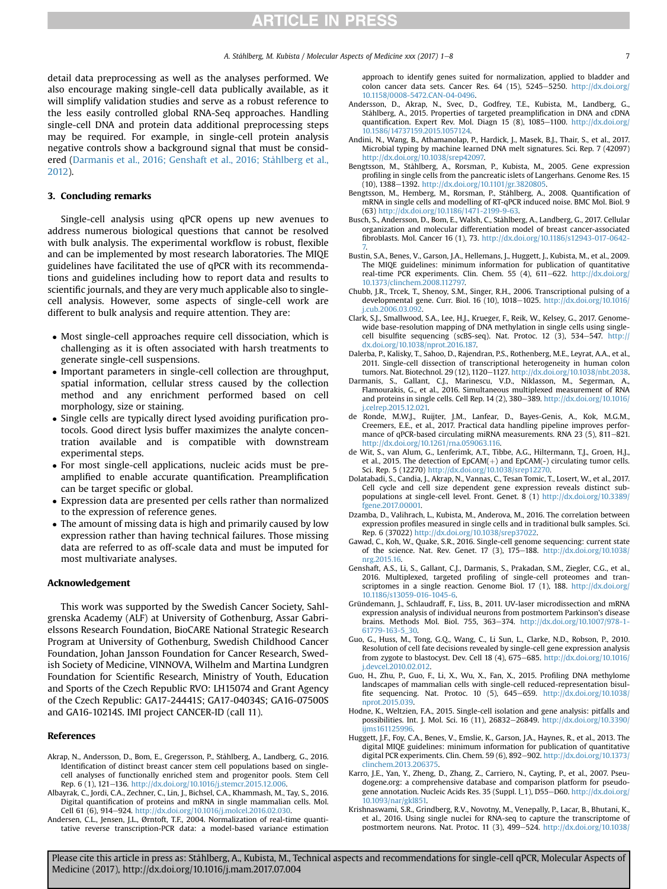<span id="page-6-0"></span>detail data preprocessing as well as the analyses performed. We also encourage making single-cell data publically available, as it will simplify validation studies and serve as a robust reference to the less easily controlled global RNA-Seq approaches. Handling single-cell DNA and protein data additional preprocessing steps may be required. For example, in single-cell protein analysis negative controls show a background signal that must be considered (Darmanis et al., 2016; Genshaft et al., 2016; Ståhlberg et al., 2012).

#### 3. Concluding remarks

Single-cell analysis using qPCR opens up new avenues to address numerous biological questions that cannot be resolved with bulk analysis. The experimental workflow is robust, flexible and can be implemented by most research laboratories. The MIQE guidelines have facilitated the use of qPCR with its recommendations and guidelines including how to report data and results to scientific journals, and they are very much applicable also to singlecell analysis. However, some aspects of single-cell work are different to bulk analysis and require attention. They are:

- Most single-cell approaches require cell dissociation, which is challenging as it is often associated with harsh treatments to generate single-cell suspensions.
- Important parameters in single-cell collection are throughput, spatial information, cellular stress caused by the collection method and any enrichment performed based on cell morphology, size or staining.
- Single cells are typically direct lysed avoiding purification protocols. Good direct lysis buffer maximizes the analyte concentration available and is compatible with downstream experimental steps.
- For most single-cell applications, nucleic acids must be preamplified to enable accurate quantification. Preamplification can be target specific or global.
- Expression data are presented per cells rather than normalized to the expression of reference genes.
- The amount of missing data is high and primarily caused by low expression rather than having technical failures. Those missing data are referred to as off-scale data and must be imputed for most multivariate analyses.

#### Acknowledgement

This work was supported by the Swedish Cancer Society, Sahlgrenska Academy (ALF) at University of Gothenburg, Assar Gabrielssons Research Foundation, BioCARE National Strategic Research Program at University of Gothenburg, Swedish Childhood Cancer Foundation, Johan Jansson Foundation for Cancer Research, Swedish Society of Medicine, VINNOVA, Wilhelm and Martina Lundgren Foundation for Scientific Research, Ministry of Youth, Education and Sports of the Czech Republic RVO: LH15074 and Grant Agency of the Czech Republic: GA17-24441S; GA17-04034S; GA16-07500S and GA16-10214S. IMI project CANCER-ID (call 11).

#### References

- Akrap, N., Andersson, D., Bom, E., Gregersson, P., Ståhlberg, A., Landberg, G., 2016. Identification of distinct breast cancer stem cell populations based on singlecell analyses of functionally enriched stem and progenitor pools. Stem Cell Rep. 6 (1), 121-136. <http://dx.doi.org/10.1016/j.stemcr.2015.12.006>.
- Albayrak, C., Jordi, C.A., Zechner, C., Lin, J., Bichsel, C.A., Khammash, M., Tay, S., 2016. Digital quantification of proteins and mRNA in single mammalian cells. Mol. Cell 61 (6), 914-924. <http://dx.doi.org/10.1016/j.molcel.2016.02.030>.
- Andersen, C.L., Jensen, J.L., Ørntoft, T.F., 2004. Normalization of real-time quantitative reverse transcription-PCR data: a model-based variance estimation

approach to identify genes suited for normalization, applied to bladder and colon cancer data sets. Cancer Res. 64 (15), 5245-5250. [http://dx.doi.org/](http://dx.doi.org/10.1158/0008-5472.CAN-04-0496) [10.1158/0008-5472.CAN-04-0496](http://dx.doi.org/10.1158/0008-5472.CAN-04-0496).

- Andersson, D., Akrap, N., Svec, D., Godfrey, T.E., Kubista, M., Landberg, G., Ståhlberg, A., 2015. Properties of targeted preamplification in DNA and cDNA quantification. Expert Rev. Mol. Diagn  $15$  (8),  $1085-1100$ . [http://dx.doi.org/](http://dx.doi.org/10.1586/14737159.2015.1057124) [10.1586/14737159.2015.1057124.](http://dx.doi.org/10.1586/14737159.2015.1057124)
- Andini, N., Wang, B., Athamanolap, P., Hardick, J., Masek, B.J., Thair, S., et al., 2017. Microbial typing by machine learned DNA melt signatures. Sci. Rep. 7 (42097) [http://dx.doi.org/10.1038/srep42097.](http://dx.doi.org/10.1038/srep42097)
- Bengtsson, M., Ståhlberg, A., Rorsman, P., Kubista, M., 2005. Gene expression profiling in single cells from the pancreatic islets of Langerhans. Genome Res. 15 (10), 1388-1392. [http://dx.doi.org/10.1101/gr.3820805.](http://dx.doi.org/10.1101/gr.3820805)
- Bengtsson, M., Hemberg, M., Rorsman, P., Ståhlberg, A., 2008. Quantification of mRNA in single cells and modelling of RT-qPCR induced noise. BMC Mol. Biol. 9 (63) [http://dx.doi.org/10.1186/1471-2199-9-63.](http://dx.doi.org/10.1186/1471-2199-9-63)
- Busch, S., Andersson, D., Bom, E., Walsh, C., Ståhlberg, A., Landberg, G., 2017. Cellular organization and molecular differentiation model of breast cancer-associated fibroblasts. Mol. Cancer 16 (1), 73. [http://dx.doi.org/10.1186/s12943-017-0642-](http://dx.doi.org/10.1186/s12943-017-0642-7) [7.](http://dx.doi.org/10.1186/s12943-017-0642-7)
- Bustin, S.A., Benes, V., Garson, J.A., Hellemans, J., Huggett, J., Kubista, M., et al., 2009. The MIQE guidelines: minimum information for publication of quantitative real-time PCR experiments. Clin. Chem. 55 (4), 611-622. [http://dx.doi.org/](http://dx.doi.org/10.1373/clinchem.2008.112797) [10.1373/clinchem.2008.112797.](http://dx.doi.org/10.1373/clinchem.2008.112797)
- Chubb, J.R., Trcek, T., Shenoy, S.M., Singer, R.H., 2006. Transcriptional pulsing of a developmental gene. Curr. Biol. 16 (10), 1018-1025. [http://dx.doi.org/10.1016/](http://dx.doi.org/10.1016/j.cub.2006.03.092) cub.2006.03.092
- Clark, S.J., Smallwood, S.A., Lee, H.J., Krueger, F., Reik, W., Kelsey, G., 2017. Genomewide base-resolution mapping of DNA methylation in single cells using singlecell bisulfite sequencing (scBS-seq). Nat. Protoc. 12 (3), 534-547. [http://](http://dx.doi.org/10.1038/nprot.2016.187) [dx.doi.org/10.1038/nprot.2016.187.](http://dx.doi.org/10.1038/nprot.2016.187)
- Dalerba, P., Kalisky, T., Sahoo, D., Rajendran, P.S., Rothenberg, M.E., Leyrat, A.A., et al., 2011. Single-cell dissection of transcriptional heterogeneity in human colon tumors. Nat. Biotechnol. 29 (12), 1120-1127. <http://dx.doi.org/10.1038/nbt.2038>.
- Darmanis, S., Gallant, C.J., Marinescu, V.D., Niklasson, M., Segerman, A., Flamourakis, G., et al., 2016. Simultaneous multiplexed measurement of RNA and proteins in single cells. Cell Rep. 14 (2), 380-389. [http://dx.doi.org/10.1016/](http://dx.doi.org/10.1016/j.celrep.2015.12.021) [j.celrep.2015.12.021.](http://dx.doi.org/10.1016/j.celrep.2015.12.021)
- de Ronde, M.W.J., Ruijter, J.M., Lanfear, D., Bayes-Genis, A., Kok, M.G.M., Creemers, E.E., et al., 2017. Practical data handling pipeline improves performance of qPCR-based circulating miRNA measurements. RNA 23 (5), 811-821. [http://dx.doi.org/10.1261/rna.059063.116.](http://dx.doi.org/10.1261/rna.059063.116)
- de Wit, S., van Alum, G., Lenferimk, A.T., Tibbe, A.G., Hiltermann, T.J., Groen, H.J., et al., 2015. The detection of  $EpCAM(+)$  and  $EpCAM(-)$  circulating tumor cells. Sci. Rep. 5 (12270) <http://dx.doi.org/10.1038/srep12270>.
- Dolatabadi, S., Candia, J., Akrap, N., Vannas, C., Tesan Tomic, T., Losert, W., et al., 2017. Cell cycle and cell size dependent gene expression reveals distinct subpopulations at single-cell level. Front. Genet. 8 (1) [http://dx.doi.org/10.3389/](http://dx.doi.org/10.3389/fgene.2017.00001) [fgene.2017.00001.](http://dx.doi.org/10.3389/fgene.2017.00001)
- Dzamba, D., Valihrach, L., Kubista, M., Anderova, M., 2016. The correlation between expression profiles measured in single cells and in traditional bulk samples. Sci. Rep. 6 (37022) <http://dx.doi.org/10.1038/srep37022>.
- Gawad, C., Koh, W., Quake, S.R., 2016. Single-cell genome sequencing: current state of the science. Nat. Rev. Genet. 17 (3), 175-188. [http://dx.doi.org/10.1038/](http://dx.doi.org/10.1038/nrg.2015.16) [nrg.2015.16](http://dx.doi.org/10.1038/nrg.2015.16).
- Genshaft, A.S., Li, S., Gallant, C.J., Darmanis, S., Prakadan, S.M., Ziegler, C.G., et al., 2016. Multiplexed, targeted profiling of single-cell proteomes and transcriptomes in a single reaction. Genome Biol. 17 (1), 188. [http://dx.doi.org/](http://dx.doi.org/10.1186/s13059-016-1045-6) [10.1186/s13059-016-1045-6.](http://dx.doi.org/10.1186/s13059-016-1045-6)
- Gründemann, J., Schlaudraff, F., Liss, B., 2011. UV-laser microdissection and mRNA expression analysis of individual neurons from postmortem Parkinson's disease brains. Methods Mol. Biol. 755, 363-374. [http://dx.doi.org/10.1007/978-1-](http://dx.doi.org/10.1007/978-1-61779-163-5_30) [61779-163-5\\_30.](http://dx.doi.org/10.1007/978-1-61779-163-5_30)
- Guo, G., Huss, M., Tong, G.Q., Wang, C., Li Sun, L., Clarke, N.D., Robson, P., 2010. Resolution of cell fate decisions revealed by single-cell gene expression analysis from zygote to blastocyst. Dev. Cell 18 (4), 675-685. [http://dx.doi.org/10.1016/](http://dx.doi.org/10.1016/j.devcel.2010.02.012) [j.devcel.2010.02.012.](http://dx.doi.org/10.1016/j.devcel.2010.02.012)
- Guo, H., Zhu, P., Guo, F., Li, X., Wu, X., Fan, X., 2015. Profiling DNA methylome landscapes of mammalian cells with single-cell reduced-representation bisulfite sequencing. Nat. Protoc. 10 (5),  $645-659$ . [http://dx.doi.org/10.1038/](http://dx.doi.org/10.1038/nprot.2015.039) [nprot.2015.039.](http://dx.doi.org/10.1038/nprot.2015.039)
- Hodne, K., Weltzien, F.A., 2015. Single-cell isolation and gene analysis: pitfalls and possibilities. Int. J. Mol. Sci. 16 (11), 26832-26849. [http://dx.doi.org/10.3390/](http://dx.doi.org/10.3390/ijms161125996) ijms161125996
- Huggett, J.F., Foy, C.A., Benes, V., Emslie, K., Garson, J.A., Haynes, R., et al., 2013. The digital MIQE guidelines: minimum information for publication of quantitative digital PCR experiments. Clin. Chem. 59 (6), 892-902. [http://dx.doi.org/10.1373/](http://dx.doi.org/10.1373/clinchem.2013.206375) [clinchem.2013.206375](http://dx.doi.org/10.1373/clinchem.2013.206375).
- Karro, J.E., Yan, Y., Zheng, D., Zhang, Z., Carriero, N., Cayting, P., et al., 2007. Pseudogene.org: a comprehensive database and comparison platform for pseudogene annotation. Nucleic Acids Res. 35 (Suppl. l\_1), D55-D60. [http://dx.doi.org/](http://dx.doi.org/10.1093/nar/gkl851) [10.1093/nar/gkl851.](http://dx.doi.org/10.1093/nar/gkl851)
- Krishnaswami, S.R., Grindberg, R.V., Novotny, M., Venepally, P., Lacar, B., Bhutani, K., et al., 2016. Using single nuclei for RNA-seq to capture the transcriptome of postmortem neurons. Nat. Protoc. 11 (3),  $499-524$ . [http://dx.doi.org/10.1038/](http://dx.doi.org/10.1038/nprot.2016.015)